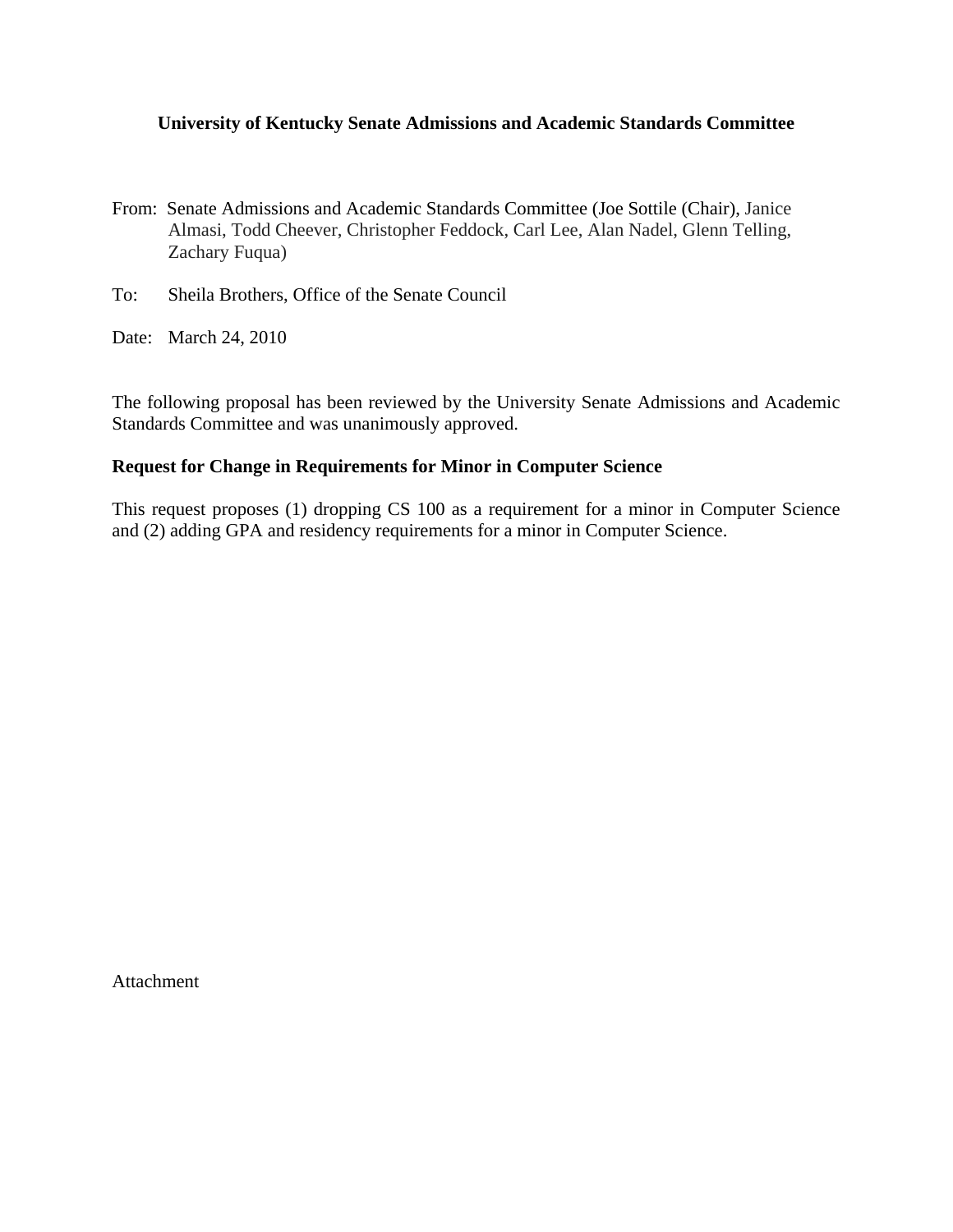## **University of Kentucky Senate Admissions and Academic Standards Committee**

- From: Senate Admissions and Academic Standards Committee (Joe Sottile (Chair), Janice Almasi, Todd Cheever, Christopher Feddock, Carl Lee, Alan Nadel, Glenn Telling, Zachary Fuqua)
- To: Sheila Brothers, Office of the Senate Council
- Date: March 24, 2010

The following proposal has been reviewed by the University Senate Admissions and Academic Standards Committee and was unanimously approved.

## **Request for Change in Requirements for Minor in Computer Science**

This request proposes (1) dropping CS 100 as a requirement for a minor in Computer Science and (2) adding GPA and residency requirements for a minor in Computer Science.

Attachment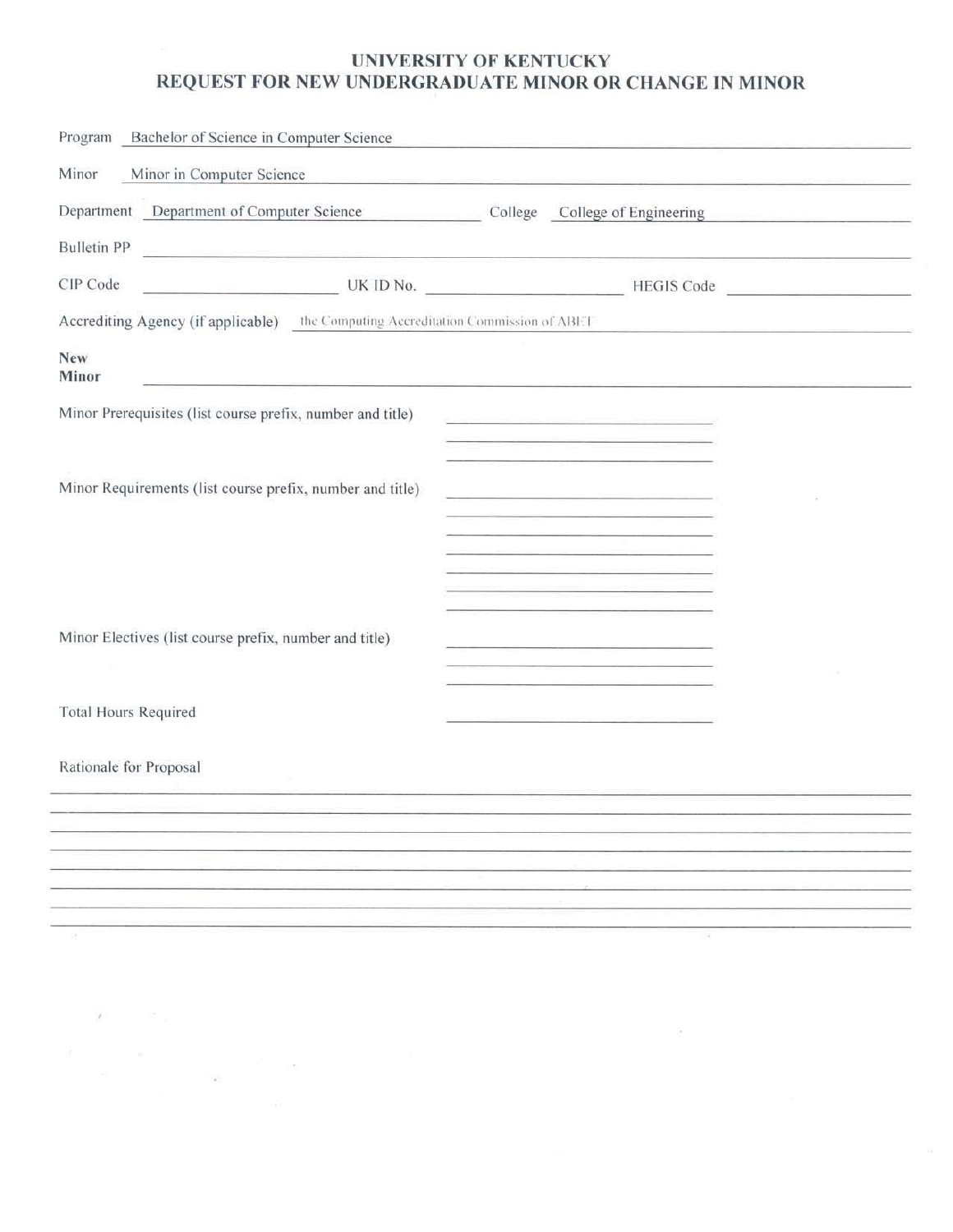# UNIVERSITY OF KENTUCKY REQUEST FOR NEW UNDERGRADUATE MINOR OR CHANGE IN MINOR

| Program Bachelor of Science in Computer Science                                                                                                                                                                                                                                                                                                          |
|----------------------------------------------------------------------------------------------------------------------------------------------------------------------------------------------------------------------------------------------------------------------------------------------------------------------------------------------------------|
| Minor<br>Minor in Computer Science                                                                                                                                                                                                                                                                                                                       |
| Department Department of Computer Science College College College of Engineering                                                                                                                                                                                                                                                                         |
| <b>Bulletin PP</b>                                                                                                                                                                                                                                                                                                                                       |
| CIP Code                                                                                                                                                                                                                                                                                                                                                 |
| Accrediting Agency (if applicable) the Computing Accreditation Commission of ABET                                                                                                                                                                                                                                                                        |
| <b>New</b><br>Minor<br><u> 1980 - Andrej Maria de Arabel de Arabel de Arabel de Arabel de Arabel de Arabel de Arabel de Arabel de Arabel </u>                                                                                                                                                                                                            |
| Minor Prerequisites (list course prefix, number and title)<br><u> Andrew Maria (1989)</u><br>1900 - Carl Britain, francuski filozof, francuski filozof, francuski filozof, francuski filozof, francuski fil                                                                                                                                              |
| the contract of the contract of the contract of the contract of the contract of<br>the control of the control of the control of the control of the control of                                                                                                                                                                                            |
| Minor Requirements (list course prefix, number and title)<br>the control of the control of the control of the control of the control of the control of                                                                                                                                                                                                   |
|                                                                                                                                                                                                                                                                                                                                                          |
| and the company of the company of the company of the company of the company of the company of the company of the<br><u> 1980 - Antonio Alemania, američki predstavanja i postavanja i postavanja i postavanja i postavanja i postavanja i postavanja i postavanja i postavanja i postavanja i postavanja i postavanja i postavanja i postavanja i po</u> |
| the contract of the contract of the contract of the contract of the contract of<br>the contract of the contract of the contract of the contract of the contract of                                                                                                                                                                                       |
| Minor Electives (list course prefix, number and title)<br>the control of the control of the control of the control of the control of                                                                                                                                                                                                                     |
|                                                                                                                                                                                                                                                                                                                                                          |
| <b>Total Hours Required</b>                                                                                                                                                                                                                                                                                                                              |
| Rationale for Proposal                                                                                                                                                                                                                                                                                                                                   |
|                                                                                                                                                                                                                                                                                                                                                          |
|                                                                                                                                                                                                                                                                                                                                                          |
|                                                                                                                                                                                                                                                                                                                                                          |
|                                                                                                                                                                                                                                                                                                                                                          |
|                                                                                                                                                                                                                                                                                                                                                          |

 $\mathbf{r}$  and  $\mathbf{r}$ 

 $\theta$  ,  $\theta = -\frac{1}{160},$  ,  $\label{eq:theta} \theta = -\frac{1}{160},$ 

 $\alpha$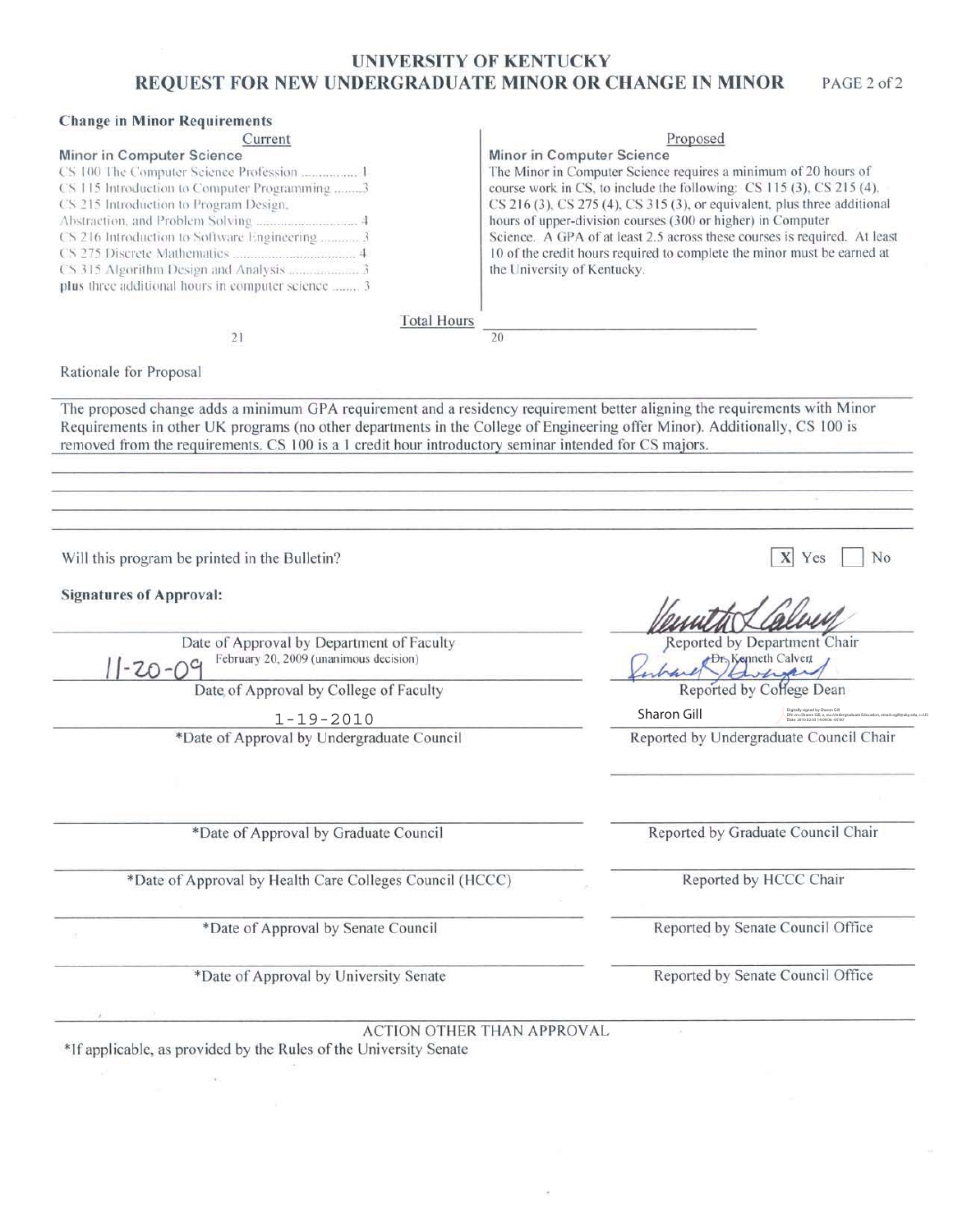### **UNIVERSITY OF KENTUCKY** CRABITATE MINOR OR CITANCE IN MINOR BROTHOM BOD SHIPL

| REQUEST FOR NEW UNDERGRADUATE MINOR OR CHANGE IN MINOR                                                                                                                                                                                                                                                                                                             | PAGE 2 of 2                                                                                                                                                                                                                                                                                                                                                                                                                                                                                            |  |  |
|--------------------------------------------------------------------------------------------------------------------------------------------------------------------------------------------------------------------------------------------------------------------------------------------------------------------------------------------------------------------|--------------------------------------------------------------------------------------------------------------------------------------------------------------------------------------------------------------------------------------------------------------------------------------------------------------------------------------------------------------------------------------------------------------------------------------------------------------------------------------------------------|--|--|
| <b>Change in Minor Requirements</b><br>Current                                                                                                                                                                                                                                                                                                                     | Proposed                                                                                                                                                                                                                                                                                                                                                                                                                                                                                               |  |  |
| Minor in Computer Science<br>CS 100 The Computer Science Profession  1<br>CS 115 Introduction to Computer Programming 3<br>CS 215 Introduction to Program Design,<br>Abstraction, and Problem Solving  4<br>CS 216 Introduction to Software Engineering  3<br>CS 315 Algorithm Design and Analysis  3<br>plus three additional hours in computer science  3        | Minor in Computer Science<br>The Minor in Computer Science requires a minimum of 20 hours of<br>course work in CS, to include the following: CS 115 (3), CS 215 (4),<br>CS 216 (3), CS 275 (4), CS 315 (3), or equivalent, plus three additional<br>hours of upper-division courses (300 or higher) in Computer<br>Science. A GPA of at least 2.5 across these courses is required. At least<br>10 of the credit hours required to complete the minor must be earned at<br>the University of Kentucky. |  |  |
| <b>Total Hours</b>                                                                                                                                                                                                                                                                                                                                                 |                                                                                                                                                                                                                                                                                                                                                                                                                                                                                                        |  |  |
| 21                                                                                                                                                                                                                                                                                                                                                                 | 20                                                                                                                                                                                                                                                                                                                                                                                                                                                                                                     |  |  |
| Rationale for Proposal                                                                                                                                                                                                                                                                                                                                             |                                                                                                                                                                                                                                                                                                                                                                                                                                                                                                        |  |  |
| The proposed change adds a minimum GPA requirement and a residency requirement better aligning the requirements with Minor<br>Requirements in other UK programs (no other departments in the College of Engineering offer Minor). Additionally, CS 100 is<br>removed from the requirements. CS 100 is a 1 credit hour introductory seminar intended for CS majors. |                                                                                                                                                                                                                                                                                                                                                                                                                                                                                                        |  |  |
| Will this program be printed in the Bulletin?                                                                                                                                                                                                                                                                                                                      | No<br>Yes                                                                                                                                                                                                                                                                                                                                                                                                                                                                                              |  |  |
| <b>Signatures of Approval:</b>                                                                                                                                                                                                                                                                                                                                     |                                                                                                                                                                                                                                                                                                                                                                                                                                                                                                        |  |  |
| Date of Approval by Department of Faculty<br>February 20, 2009 (unanimous decision)<br>$1 - 20 - 09$                                                                                                                                                                                                                                                               | Reported by Department Chair<br><b>Dr.</b> Kenneth Calvert                                                                                                                                                                                                                                                                                                                                                                                                                                             |  |  |
| Date of Approval by College of Faculty                                                                                                                                                                                                                                                                                                                             | Reported by College Dean                                                                                                                                                                                                                                                                                                                                                                                                                                                                               |  |  |
| $1 - 19 - 2010$<br>*Date of Approval by Undergraduate Council                                                                                                                                                                                                                                                                                                      | Sharon Gill<br>Reported by Undergraduate Council Chair                                                                                                                                                                                                                                                                                                                                                                                                                                                 |  |  |
|                                                                                                                                                                                                                                                                                                                                                                    |                                                                                                                                                                                                                                                                                                                                                                                                                                                                                                        |  |  |
| *Date of Approval by Graduate Council                                                                                                                                                                                                                                                                                                                              | Reported by Graduate Council Chair                                                                                                                                                                                                                                                                                                                                                                                                                                                                     |  |  |
| *Date of Approval by Health Care Colleges Council (HCCC)                                                                                                                                                                                                                                                                                                           | Reported by HCCC Chair                                                                                                                                                                                                                                                                                                                                                                                                                                                                                 |  |  |
| *Date of Approval by Senate Council                                                                                                                                                                                                                                                                                                                                | Reported by Senate Council Office                                                                                                                                                                                                                                                                                                                                                                                                                                                                      |  |  |
| *Date of Approval by University Senate                                                                                                                                                                                                                                                                                                                             | Reported by Senate Council Office                                                                                                                                                                                                                                                                                                                                                                                                                                                                      |  |  |
|                                                                                                                                                                                                                                                                                                                                                                    | <b>ACTION OTHER THAN APPROVAL</b>                                                                                                                                                                                                                                                                                                                                                                                                                                                                      |  |  |
| *If applicable, as provided by the Rules of the University Senate                                                                                                                                                                                                                                                                                                  |                                                                                                                                                                                                                                                                                                                                                                                                                                                                                                        |  |  |
|                                                                                                                                                                                                                                                                                                                                                                    |                                                                                                                                                                                                                                                                                                                                                                                                                                                                                                        |  |  |

 $\mu$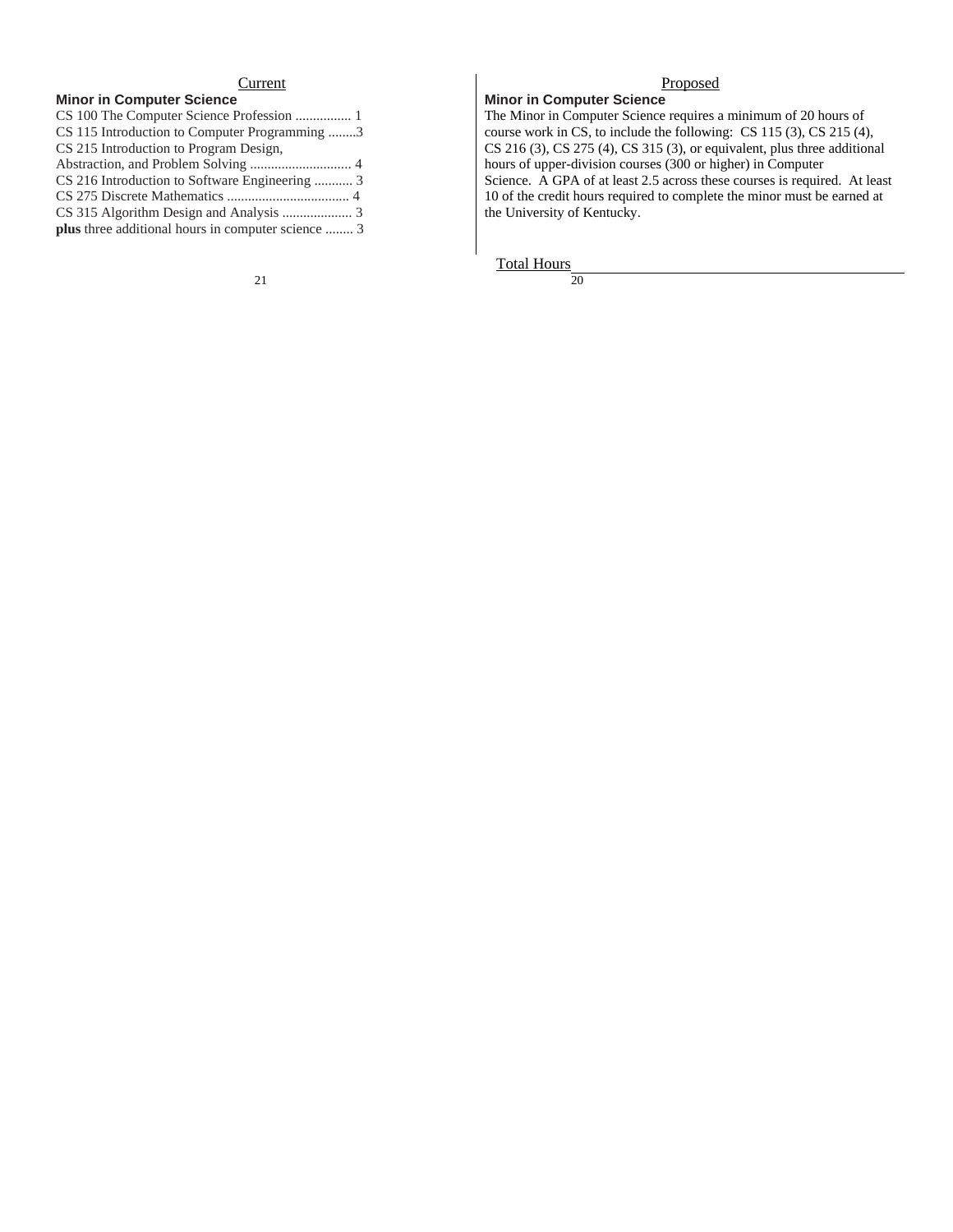## Current Proposed

**Minor in Computer Science** The Minor in Computer Science requires a minimum of 20 hours of course work in CS, to include the following: CS 115 (3), CS 215 (4), CS 216 (3), CS 275 (4), CS 315 (3), or equivalent, plus three additional hours of upper-division courses (300 or higher) in Computer Science. A GPA of at least 2.5 across these courses is required. At least 10 of the credit hours required to complete the minor must be earned at the University of Kentucky.

Total Hours<br>20

21  $20$